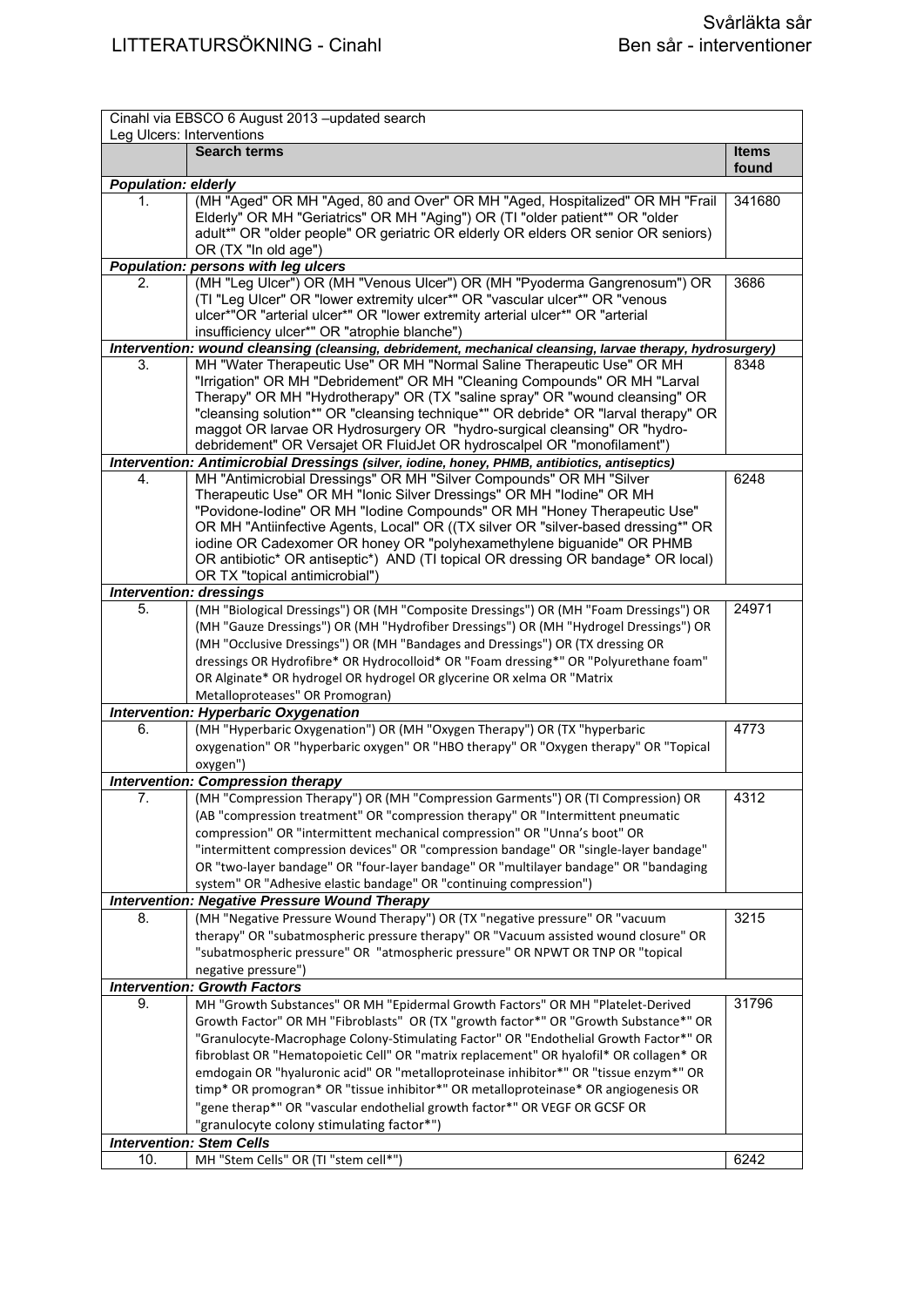|                            | Cinahl via EBSCO 6 August 2013 - updated search                                                                                                                   |                       |  |
|----------------------------|-------------------------------------------------------------------------------------------------------------------------------------------------------------------|-----------------------|--|
|                            | Leg Ulcers: Interventions                                                                                                                                         |                       |  |
|                            | <b>Search terms</b>                                                                                                                                               | <b>Items</b><br>found |  |
| <b>Population: elderly</b> |                                                                                                                                                                   |                       |  |
| 1.                         | (MH "Aged" OR MH "Aged, 80 and Over" OR MH "Aged, Hospitalized" OR MH "Frail                                                                                      | 341680                |  |
|                            | Elderly" OR MH "Geriatrics" OR MH "Aging") OR (TI "older patient*" OR "older                                                                                      |                       |  |
|                            | adult*" OR "older people" OR geriatric OR elderly OR elders OR senior OR seniors)                                                                                 |                       |  |
|                            | OR (TX "In old age")                                                                                                                                              |                       |  |
|                            | Population: persons with leg ulcers                                                                                                                               |                       |  |
| 2.                         | (MH "Leg Ulcer") OR (MH "Venous Ulcer") OR (MH "Pyoderma Gangrenosum") OR                                                                                         | 3686                  |  |
|                            | (TI "Leg Ulcer" OR "lower extremity ulcer*" OR "vascular ulcer*" OR "venous                                                                                       |                       |  |
|                            | ulcer*"OR "arterial ulcer*" OR "lower extremity arterial ulcer*" OR "arterial                                                                                     |                       |  |
|                            | insufficiency ulcer*" OR "atrophie blanche")                                                                                                                      |                       |  |
|                            | Intervention: wound cleansing (cleansing, debridement, mechanical cleansing, larvae therapy, hydrosurgery)                                                        |                       |  |
| 3.                         | MH "Water Therapeutic Use" OR MH "Normal Saline Therapeutic Use" OR MH                                                                                            | 8348                  |  |
|                            | "Irrigation" OR MH "Debridement" OR MH "Cleaning Compounds" OR MH "Larval                                                                                         |                       |  |
|                            | Therapy" OR MH "Hydrotherapy" OR (TX "saline spray" OR "wound cleansing" OR<br>"cleansing solution*" OR "cleansing technique*" OR debride* OR "larval therapy" OR |                       |  |
|                            | maggot OR larvae OR Hydrosurgery OR "hydro-surgical cleansing" OR "hydro-                                                                                         |                       |  |
|                            | debridement" OR Versajet OR FluidJet OR hydroscalpel OR "monofilament")                                                                                           |                       |  |
|                            | Intervention: Antimicrobial Dressings (silver, iodine, honey, PHMB, antibiotics, antiseptics)                                                                     |                       |  |
| 4.                         | MH "Antimicrobial Dressings" OR MH "Silver Compounds" OR MH "Silver                                                                                               | 6248                  |  |
|                            | Therapeutic Use" OR MH "Ionic Silver Dressings" OR MH "Iodine" OR MH                                                                                              |                       |  |
|                            | "Povidone-lodine" OR MH "lodine Compounds" OR MH "Honey Therapeutic Use"                                                                                          |                       |  |
|                            | OR MH "Antiinfective Agents, Local" OR ((TX silver OR "silver-based dressing*" OR                                                                                 |                       |  |
|                            | iodine OR Cadexomer OR honey OR "polyhexamethylene biguanide" OR PHMB                                                                                             |                       |  |
|                            | OR antibiotic* OR antiseptic*) AND (TI topical OR dressing OR bandage* OR local)                                                                                  |                       |  |
|                            | OR TX "topical antimicrobial")                                                                                                                                    |                       |  |
|                            | <b>Intervention: dressings</b>                                                                                                                                    |                       |  |
| 5.                         | (MH "Biological Dressings") OR (MH "Composite Dressings") OR (MH "Foam Dressings") OR                                                                             | 24971                 |  |
|                            | (MH "Gauze Dressings") OR (MH "Hydrofiber Dressings") OR (MH "Hydrogel Dressings") OR                                                                             |                       |  |
|                            | (MH "Occlusive Dressings") OR (MH "Bandages and Dressings") OR (TX dressing OR                                                                                    |                       |  |
|                            | dressings OR Hydrofibre* OR Hydrocolloid* OR "Foam dressing*" OR "Polyurethane foam"                                                                              |                       |  |
|                            | OR Alginate* OR hydrogel OR hydrogel OR glycerine OR xelma OR "Matrix                                                                                             |                       |  |
|                            | Metalloproteases" OR Promogran)                                                                                                                                   |                       |  |
|                            | <b>Intervention: Hyperbaric Oxygenation</b>                                                                                                                       |                       |  |
| 6.                         | (MH "Hyperbaric Oxygenation") OR (MH "Oxygen Therapy") OR (TX "hyperbaric                                                                                         | 4773                  |  |
|                            | oxygenation" OR "hyperbaric oxygen" OR "HBO therapy" OR "Oxygen therapy" OR "Topical                                                                              |                       |  |
|                            | oxygen")                                                                                                                                                          |                       |  |
|                            | <b>Intervention: Compression therapy</b>                                                                                                                          |                       |  |
| 7.                         | (MH "Compression Therapy") OR (MH "Compression Garments") OR (TI Compression) OR                                                                                  | 4312                  |  |
|                            | (AB "compression treatment" OR "compression therapy" OR "Intermittent pneumatic                                                                                   |                       |  |
|                            | compression" OR "intermittent mechanical compression" OR "Unna's boot" OR                                                                                         |                       |  |
|                            | "intermittent compression devices" OR "compression bandage" OR "single-layer bandage"                                                                             |                       |  |
|                            | OR "two-layer bandage" OR "four-layer bandage" OR "multilayer bandage" OR "bandaging                                                                              |                       |  |
|                            | system" OR "Adhesive elastic bandage" OR "continuing compression")                                                                                                |                       |  |
|                            | <b>Intervention: Negative Pressure Wound Therapy</b>                                                                                                              |                       |  |
| 8.                         | (MH "Negative Pressure Wound Therapy") OR (TX "negative pressure" OR "vacuum                                                                                      | 3215                  |  |
|                            | therapy" OR "subatmospheric pressure therapy" OR "Vacuum assisted wound closure" OR                                                                               |                       |  |
|                            | "subatmospheric pressure" OR "atmospheric pressure" OR NPWT OR TNP OR "topical                                                                                    |                       |  |
|                            | negative pressure")<br><b>Intervention: Growth Factors</b>                                                                                                        |                       |  |
| 9.                         | MH "Growth Substances" OR MH "Epidermal Growth Factors" OR MH "Platelet-Derived                                                                                   | 31796                 |  |
|                            | Growth Factor" OR MH "Fibroblasts" OR (TX "growth factor*" OR "Growth Substance*" OR                                                                              |                       |  |
|                            | "Granulocyte-Macrophage Colony-Stimulating Factor" OR "Endothelial Growth Factor*" OR                                                                             |                       |  |
|                            | fibroblast OR "Hematopoietic Cell" OR "matrix replacement" OR hyalofil* OR collagen* OR                                                                           |                       |  |
|                            | emdogain OR "hyaluronic acid" OR "metalloproteinase inhibitor*" OR "tissue enzym*" OR                                                                             |                       |  |
|                            | timp* OR promogran* OR "tissue inhibitor*" OR metalloproteinase* OR angiogenesis OR                                                                               |                       |  |
|                            | "gene therap*" OR "vascular endothelial growth factor*" OR VEGF OR GCSF OR                                                                                        |                       |  |
|                            | "granulocyte colony stimulating factor*")                                                                                                                         |                       |  |
|                            | <b>Intervention: Stem Cells</b>                                                                                                                                   |                       |  |
| 10.                        | MH "Stem Cells" OR (TI "stem cell*")                                                                                                                              | 6242                  |  |
|                            |                                                                                                                                                                   |                       |  |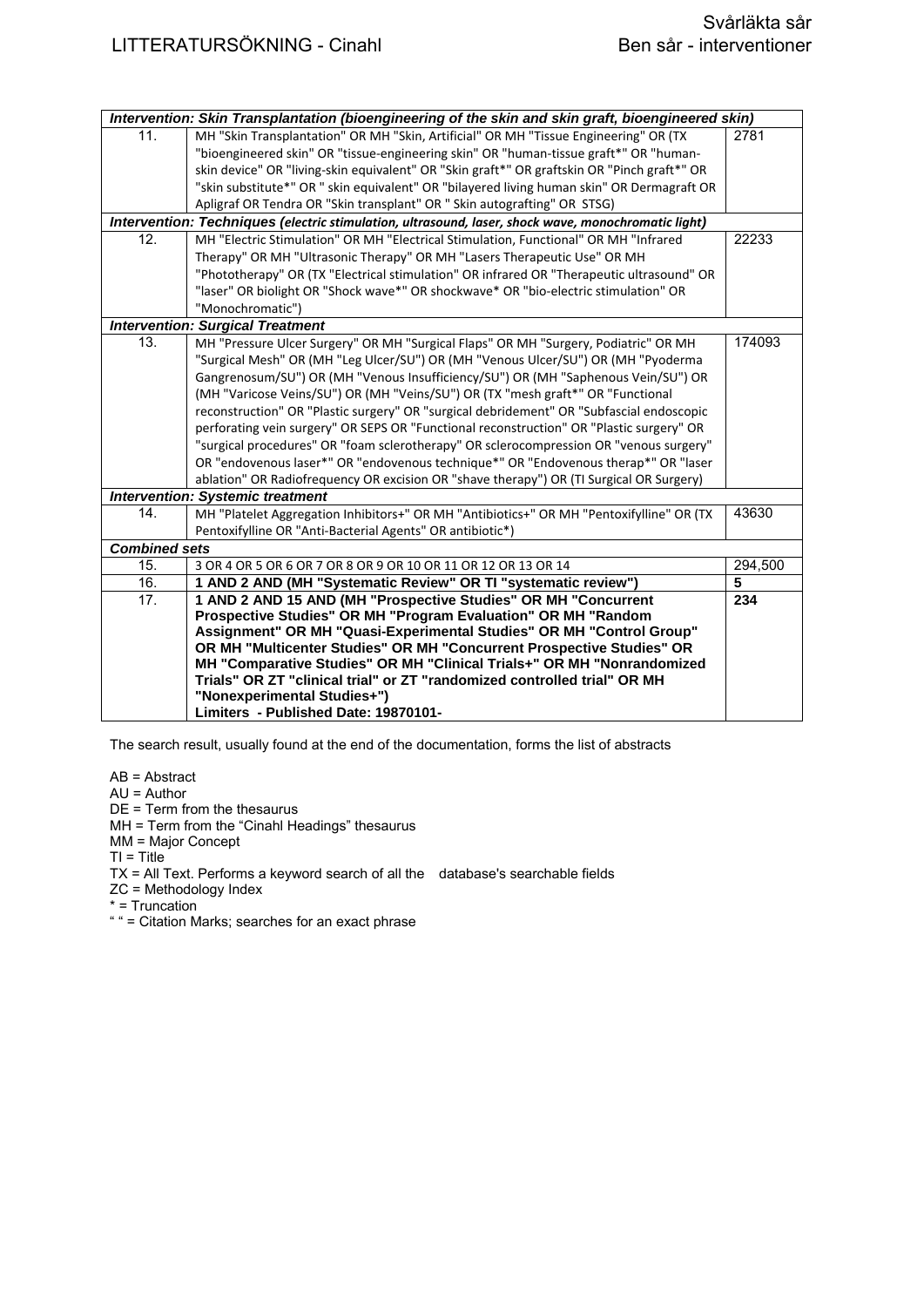| Intervention: Skin Transplantation (bioengineering of the skin and skin graft, bioengineered skin) |                                                                                                     |         |
|----------------------------------------------------------------------------------------------------|-----------------------------------------------------------------------------------------------------|---------|
| 11.                                                                                                | MH "Skin Transplantation" OR MH "Skin, Artificial" OR MH "Tissue Engineering" OR (TX                | 2781    |
|                                                                                                    | "bioengineered skin" OR "tissue-engineering skin" OR "human-tissue graft*" OR "human-               |         |
|                                                                                                    | skin device" OR "living-skin equivalent" OR "Skin graft*" OR graftskin OR "Pinch graft*" OR         |         |
|                                                                                                    | "skin substitute*" OR " skin equivalent" OR "bilayered living human skin" OR Dermagraft OR          |         |
|                                                                                                    | Apligraf OR Tendra OR "Skin transplant" OR " Skin autografting" OR STSG)                            |         |
|                                                                                                    | Intervention: Techniques (electric stimulation, ultrasound, laser, shock wave, monochromatic light) |         |
| 12.                                                                                                | MH "Electric Stimulation" OR MH "Electrical Stimulation, Functional" OR MH "Infrared                | 22233   |
|                                                                                                    | Therapy" OR MH "Ultrasonic Therapy" OR MH "Lasers Therapeutic Use" OR MH                            |         |
|                                                                                                    | "Phototherapy" OR (TX "Electrical stimulation" OR infrared OR "Therapeutic ultrasound" OR           |         |
|                                                                                                    | "laser" OR biolight OR "Shock wave*" OR shockwave* OR "bio-electric stimulation" OR                 |         |
|                                                                                                    | "Monochromatic")                                                                                    |         |
|                                                                                                    | <b>Intervention: Surgical Treatment</b>                                                             |         |
| 13.                                                                                                | MH "Pressure Ulcer Surgery" OR MH "Surgical Flaps" OR MH "Surgery, Podiatric" OR MH                 | 174093  |
|                                                                                                    | "Surgical Mesh" OR (MH "Leg Ulcer/SU") OR (MH "Venous Ulcer/SU") OR (MH "Pyoderma                   |         |
|                                                                                                    | Gangrenosum/SU") OR (MH "Venous Insufficiency/SU") OR (MH "Saphenous Vein/SU") OR                   |         |
|                                                                                                    | (MH "Varicose Veins/SU") OR (MH "Veins/SU") OR (TX "mesh graft*" OR "Functional                     |         |
|                                                                                                    | reconstruction" OR "Plastic surgery" OR "surgical debridement" OR "Subfascial endoscopic            |         |
|                                                                                                    | perforating vein surgery" OR SEPS OR "Functional reconstruction" OR "Plastic surgery" OR            |         |
|                                                                                                    | "surgical procedures" OR "foam sclerotherapy" OR sclerocompression OR "venous surgery"              |         |
|                                                                                                    | OR "endovenous laser*" OR "endovenous technique*" OR "Endovenous therap*" OR "laser                 |         |
|                                                                                                    | ablation" OR Radiofrequency OR excision OR "shave therapy") OR (TI Surgical OR Surgery)             |         |
|                                                                                                    | <b>Intervention: Systemic treatment</b>                                                             |         |
| 14.                                                                                                | MH "Platelet Aggregation Inhibitors+" OR MH "Antibiotics+" OR MH "Pentoxifylline" OR (TX            | 43630   |
|                                                                                                    | Pentoxifylline OR "Anti-Bacterial Agents" OR antibiotic*)                                           |         |
| <b>Combined sets</b>                                                                               |                                                                                                     |         |
| 15.                                                                                                | 3 OR 4 OR 5 OR 6 OR 7 OR 8 OR 9 OR 10 OR 11 OR 12 OR 13 OR 14                                       | 294,500 |
| 16.                                                                                                | 1 AND 2 AND (MH "Systematic Review" OR TI "systematic review")                                      | 5       |
| 17.                                                                                                | 1 AND 2 AND 15 AND (MH "Prospective Studies" OR MH "Concurrent                                      | 234     |
|                                                                                                    | Prospective Studies" OR MH "Program Evaluation" OR MH "Random                                       |         |
|                                                                                                    | Assignment" OR MH "Quasi-Experimental Studies" OR MH "Control Group"                                |         |
|                                                                                                    | OR MH "Multicenter Studies" OR MH "Concurrent Prospective Studies" OR                               |         |
|                                                                                                    | MH "Comparative Studies" OR MH "Clinical Trials+" OR MH "Nonrandomized                              |         |
|                                                                                                    | Trials" OR ZT "clinical trial" or ZT "randomized controlled trial" OR MH                            |         |
|                                                                                                    | "Nonexperimental Studies+")                                                                         |         |
|                                                                                                    | Limiters - Published Date: 19870101-                                                                |         |

AB = Abstract

AU = Author

DE = Term from the thesaurus

MH = Term from the "Cinahl Headings" thesaurus

MM = Major Concept

 $TI = Title$ 

TX = All Text. Performs a keyword search of all the database's searchable fields

ZC = Methodology Index

\* = Truncation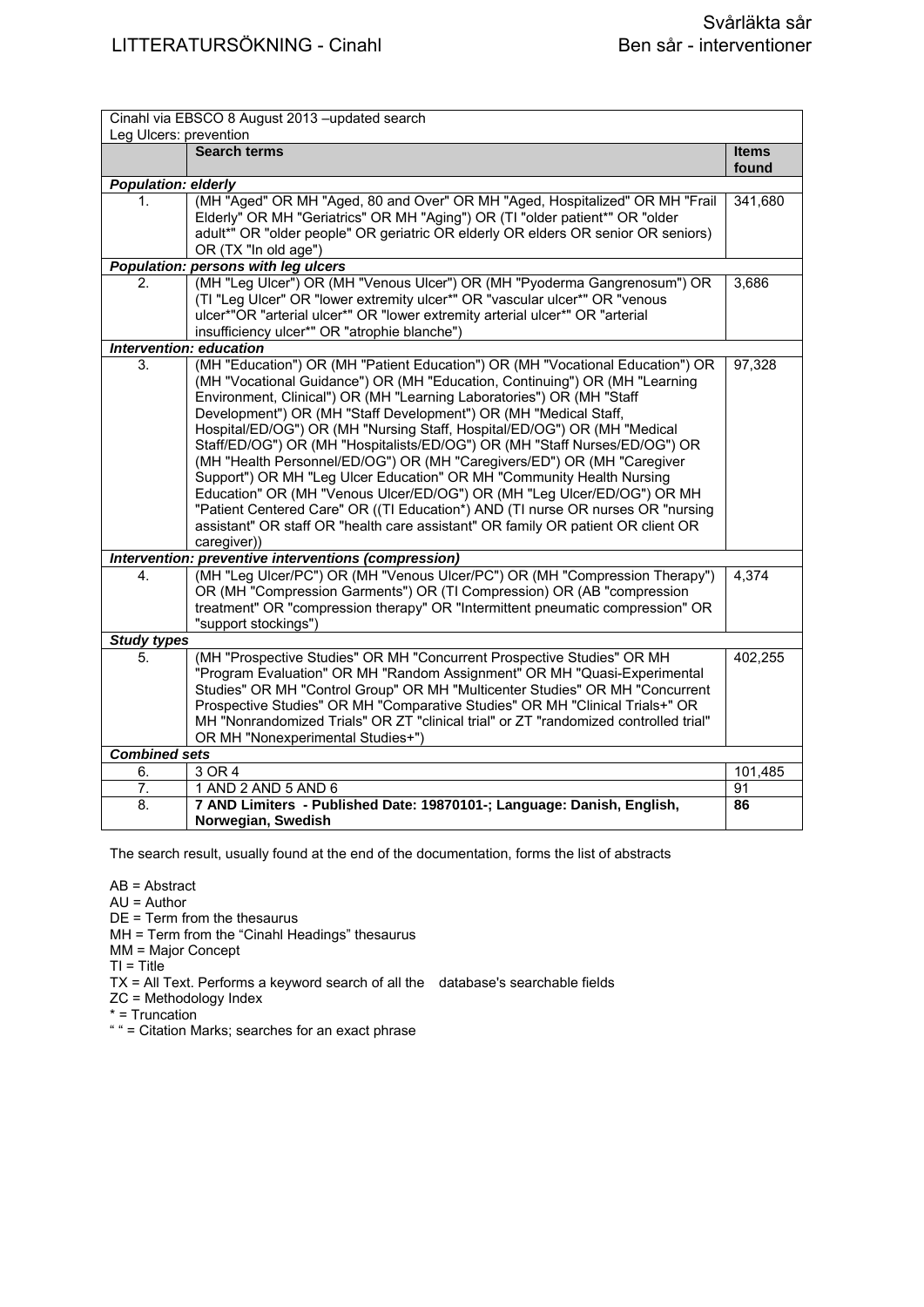| Cinahl via EBSCO 8 August 2013 - updated search<br>Leg Ulcers: prevention |                                                                                                                                                                   |              |
|---------------------------------------------------------------------------|-------------------------------------------------------------------------------------------------------------------------------------------------------------------|--------------|
|                                                                           | <b>Search terms</b>                                                                                                                                               | <b>Items</b> |
|                                                                           |                                                                                                                                                                   | found        |
| <b>Population: elderly</b>                                                |                                                                                                                                                                   |              |
| 1.                                                                        | (MH "Aged" OR MH "Aged, 80 and Over" OR MH "Aged, Hospitalized" OR MH "Frail                                                                                      | 341,680      |
|                                                                           | Elderly" OR MH "Geriatrics" OR MH "Aging") OR (TI "older patient*" OR "older<br>adult*" OR "older people" OR geriatric OR elderly OR elders OR senior OR seniors) |              |
|                                                                           | OR (TX "In old age")                                                                                                                                              |              |
|                                                                           | Population: persons with leg ulcers                                                                                                                               |              |
| 2.                                                                        | (MH "Leg Ulcer") OR (MH "Venous Ulcer") OR (MH "Pyoderma Gangrenosum") OR                                                                                         | 3,686        |
|                                                                           | (TI "Leg Ulcer" OR "lower extremity ulcer*" OR "vascular ulcer*" OR "venous                                                                                       |              |
|                                                                           | ulcer*"OR "arterial ulcer*" OR "lower extremity arterial ulcer*" OR "arterial                                                                                     |              |
|                                                                           | insufficiency ulcer*" OR "atrophie blanche")<br>Intervention: education                                                                                           |              |
| 3.                                                                        | (MH "Education") OR (MH "Patient Education") OR (MH "Vocational Education") OR                                                                                    | 97,328       |
|                                                                           | (MH "Vocational Guidance") OR (MH "Education, Continuing") OR (MH "Learning                                                                                       |              |
|                                                                           | Environment, Clinical") OR (MH "Learning Laboratories") OR (MH "Staff                                                                                             |              |
|                                                                           | Development") OR (MH "Staff Development") OR (MH "Medical Staff,                                                                                                  |              |
|                                                                           | Hospital/ED/OG") OR (MH "Nursing Staff, Hospital/ED/OG") OR (MH "Medical                                                                                          |              |
|                                                                           | Staff/ED/OG") OR (MH "Hospitalists/ED/OG") OR (MH "Staff Nurses/ED/OG") OR                                                                                        |              |
|                                                                           | (MH "Health Personnel/ED/OG") OR (MH "Caregivers/ED") OR (MH "Caregiver                                                                                           |              |
|                                                                           | Support") OR MH "Leg Ulcer Education" OR MH "Community Health Nursing                                                                                             |              |
|                                                                           | Education" OR (MH "Venous Ulcer/ED/OG") OR (MH "Leg Ulcer/ED/OG") OR MH                                                                                           |              |
|                                                                           | "Patient Centered Care" OR ((TI Education*) AND (TI nurse OR nurses OR "nursing                                                                                   |              |
|                                                                           | assistant" OR staff OR "health care assistant" OR family OR patient OR client OR                                                                                  |              |
|                                                                           | caregiver))<br>Intervention: preventive interventions (compression)                                                                                               |              |
| 4.                                                                        | (MH "Leg Ulcer/PC") OR (MH "Venous Ulcer/PC") OR (MH "Compression Therapy")                                                                                       | 4,374        |
|                                                                           | OR (MH "Compression Garments") OR (TI Compression) OR (AB "compression                                                                                            |              |
|                                                                           | treatment" OR "compression therapy" OR "Intermittent pneumatic compression" OR                                                                                    |              |
|                                                                           | "support stockings")                                                                                                                                              |              |
| <b>Study types</b>                                                        |                                                                                                                                                                   |              |
| 5.                                                                        | (MH "Prospective Studies" OR MH "Concurrent Prospective Studies" OR MH                                                                                            | 402,255      |
|                                                                           | "Program Evaluation" OR MH "Random Assignment" OR MH "Quasi-Experimental                                                                                          |              |
|                                                                           | Studies" OR MH "Control Group" OR MH "Multicenter Studies" OR MH "Concurrent                                                                                      |              |
|                                                                           | Prospective Studies" OR MH "Comparative Studies" OR MH "Clinical Trials+" OR                                                                                      |              |
|                                                                           | MH "Nonrandomized Trials" OR ZT "clinical trial" or ZT "randomized controlled trial"<br>OR MH "Nonexperimental Studies+")                                         |              |
| <b>Combined sets</b>                                                      |                                                                                                                                                                   |              |
| 6.                                                                        | 3 OR 4                                                                                                                                                            | 101,485      |
| 7.                                                                        | 1 AND 2 AND 5 AND 6                                                                                                                                               | 91           |
| $\overline{8}$ .                                                          | 7 AND Limiters - Published Date: 19870101-; Language: Danish, English,                                                                                            | 86           |
|                                                                           | Norwegian, Swedish                                                                                                                                                |              |
|                                                                           |                                                                                                                                                                   |              |

AB = Abstract

AU = Author

DE = Term from the thesaurus MH = Term from the "Cinahl Headings" thesaurus

MM = Major Concept

 $TI = Title$ 

TX = All Text. Performs a keyword search of all the database's searchable fields

ZC = Methodology Index

\* = Truncation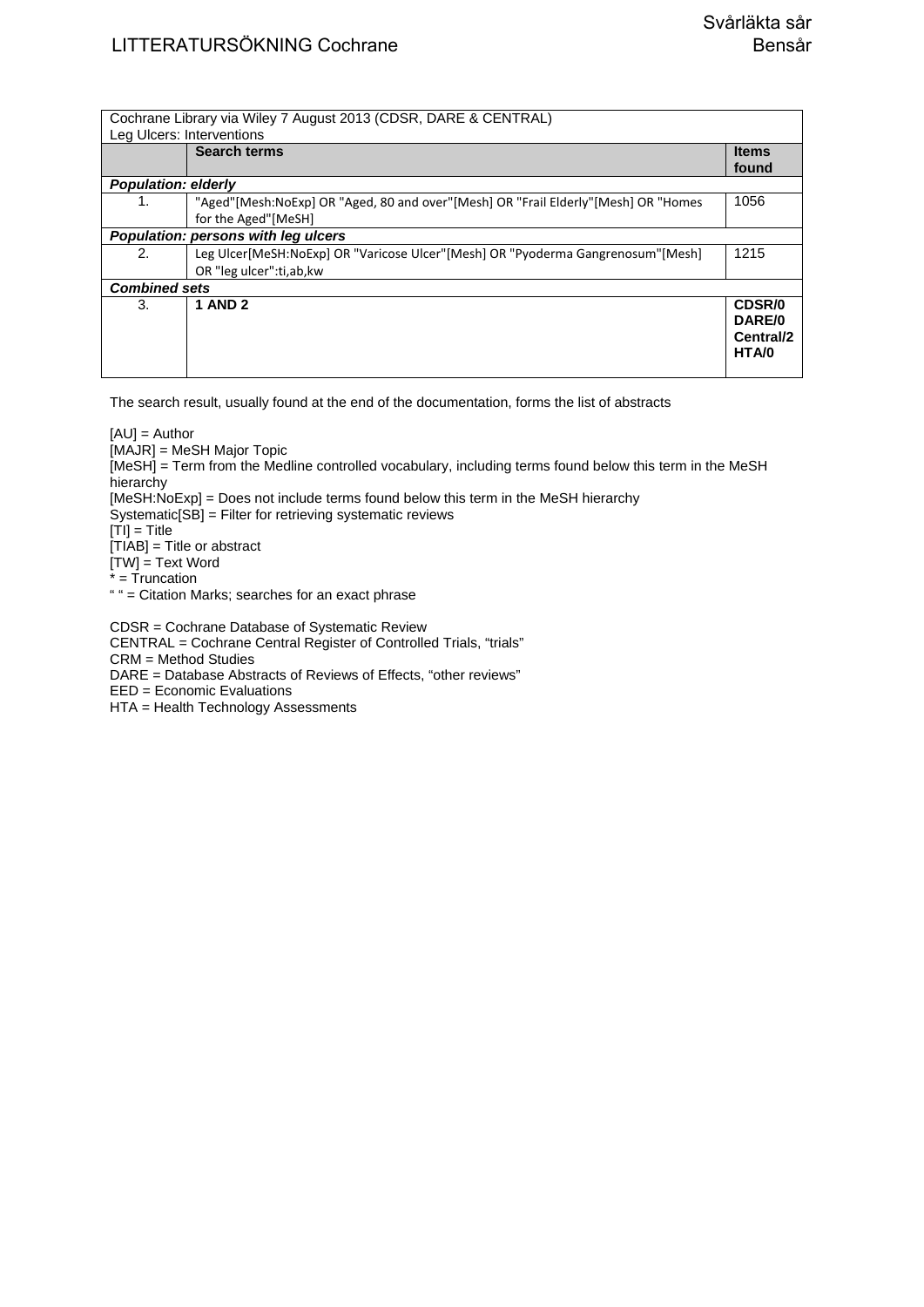Cochrane Library via Wiley 7 August 2013 (CDSR, DARE & CENTRAL) Leg Ulcers: Interventions **Search terms I** Items **found**  *Population: elderly*  1. "Aged"[Mesh:NoExp] OR "Aged, 80 and over"[Mesh] OR "Frail Elderly"[Mesh] OR "Homes for the Aged"[MeSH] 1056 *Population: persons with leg ulcers*  2. Leg Ulcer[MeSH:NoExp] OR "Varicose Ulcer"[Mesh] OR "Pyoderma Gangrenosum"[Mesh] OR "leg ulcer":ti,ab,kw 1215 *Combined sets*  3. **1 AND 2 CDSR/0 DARE/0 Central/2 HTA/0** 

The search result, usually found at the end of the documentation, forms the list of abstracts

[AU] = Author

[MAJR] = MeSH Major Topic

[MeSH] = Term from the Medline controlled vocabulary, including terms found below this term in the MeSH hierarchy

[MeSH:NoExp] = Does not include terms found below this term in the MeSH hierarchy

Systematic[SB] = Filter for retrieving systematic reviews

 $[T<sub>1</sub>] = T<sub>it</sub>$ 

[TIAB] = Title or abstract

 $[TW] = Text Word$ 

\* = Truncation

" " = Citation Marks; searches for an exact phrase

CDSR = Cochrane Database of Systematic Review

CENTRAL = Cochrane Central Register of Controlled Trials, "trials"

CRM = Method Studies

DARE = Database Abstracts of Reviews of Effects, "other reviews"

EED = Economic Evaluations

HTA = Health Technology Assessments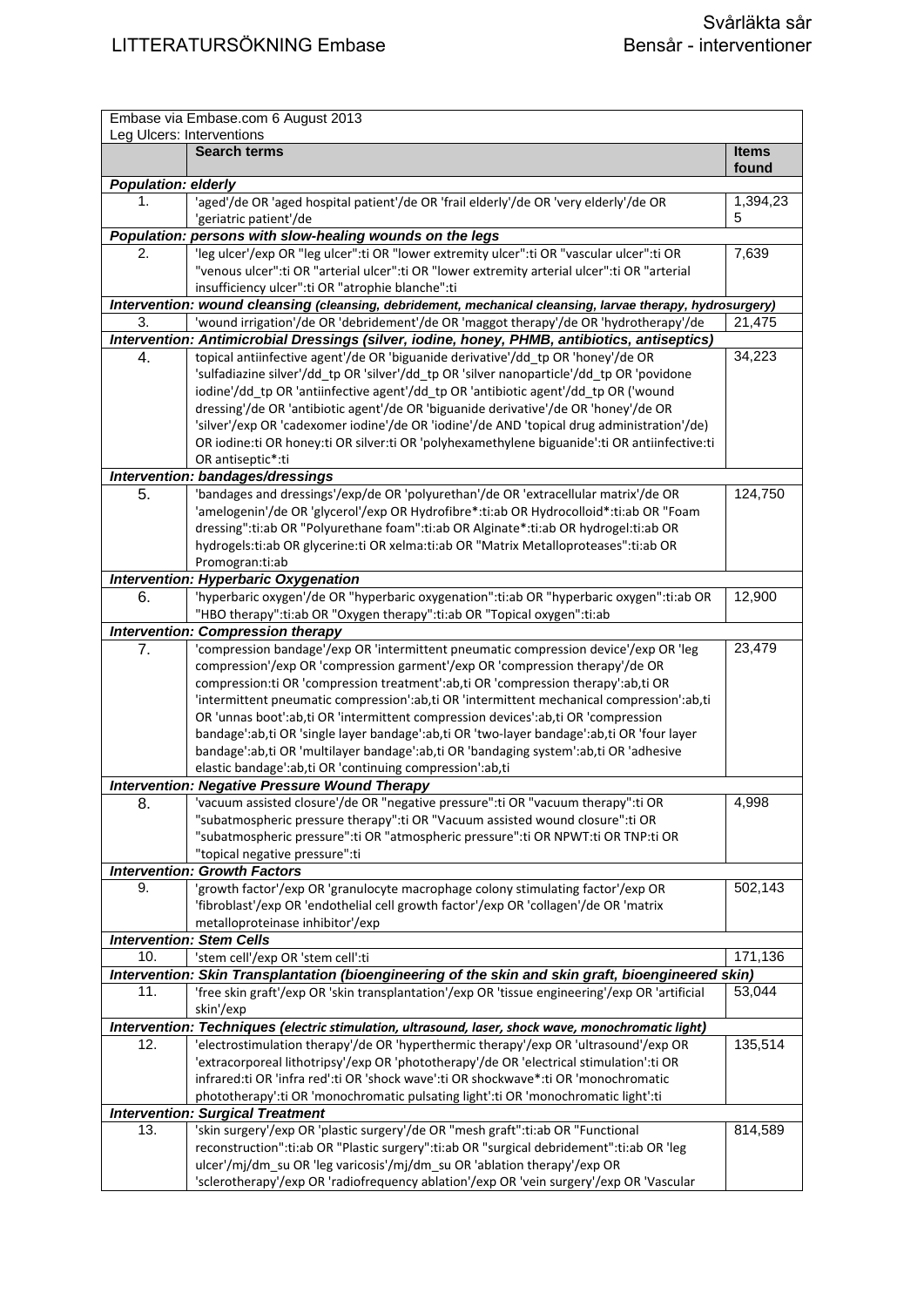| Embase via Embase.com 6 August 2013<br>Leg Ulcers: Interventions |                                                                                                                                                                               |                       |
|------------------------------------------------------------------|-------------------------------------------------------------------------------------------------------------------------------------------------------------------------------|-----------------------|
|                                                                  | <b>Search terms</b>                                                                                                                                                           | <b>Items</b><br>found |
| <b>Population: elderly</b>                                       |                                                                                                                                                                               |                       |
| 1.                                                               | 'aged'/de OR 'aged hospital patient'/de OR 'frail elderly'/de OR 'very elderly'/de OR                                                                                         | 1,394,23              |
|                                                                  | 'geriatric patient'/de                                                                                                                                                        | 5                     |
|                                                                  | Population: persons with slow-healing wounds on the legs                                                                                                                      |                       |
| 2.                                                               | 'leg ulcer'/exp OR "leg ulcer":ti OR "lower extremity ulcer":ti OR "vascular ulcer":ti OR                                                                                     | 7,639                 |
|                                                                  | "venous ulcer": ti OR "arterial ulcer": ti OR "lower extremity arterial ulcer": ti OR "arterial                                                                               |                       |
|                                                                  | insufficiency ulcer":ti OR "atrophie blanche":ti                                                                                                                              |                       |
|                                                                  | Intervention: wound cleansing (cleansing, debridement, mechanical cleansing, larvae therapy, hydrosurgery)                                                                    |                       |
| 3.                                                               | 'wound irrigation'/de OR 'debridement'/de OR 'maggot therapy'/de OR 'hydrotherapy'/de                                                                                         | 21,475                |
|                                                                  | Intervention: Antimicrobial Dressings (silver, iodine, honey, PHMB, antibiotics, antiseptics)                                                                                 |                       |
| 4.                                                               | topical antiinfective agent'/de OR 'biguanide derivative'/dd_tp OR 'honey'/de OR                                                                                              | 34,223                |
|                                                                  | 'sulfadiazine silver'/dd_tp OR 'silver'/dd_tp OR 'silver nanoparticle'/dd_tp OR 'povidone                                                                                     |                       |
|                                                                  | iodine'/dd_tp OR 'antiinfective agent'/dd_tp OR 'antibiotic agent'/dd_tp OR ('wound                                                                                           |                       |
|                                                                  | dressing'/de OR 'antibiotic agent'/de OR 'biguanide derivative'/de OR 'honey'/de OR                                                                                           |                       |
|                                                                  | 'silver'/exp OR 'cadexomer iodine'/de OR 'iodine'/de AND 'topical drug administration'/de)                                                                                    |                       |
|                                                                  | OR iodine:ti OR honey:ti OR silver:ti OR 'polyhexamethylene biguanide':ti OR antiinfective:ti                                                                                 |                       |
|                                                                  | OR antiseptic*:ti                                                                                                                                                             |                       |
|                                                                  | Intervention: bandages/dressings                                                                                                                                              |                       |
| 5.                                                               | 'bandages and dressings'/exp/de OR 'polyurethan'/de OR 'extracellular matrix'/de OR<br>'amelogenin'/de OR 'glycerol'/exp OR Hydrofibre*:ti:ab OR Hydrocolloid*:ti:ab OR "Foam | 124,750               |
|                                                                  | dressing":ti:ab OR "Polyurethane foam":ti:ab OR Alginate*:ti:ab OR hydrogel:ti:ab OR                                                                                          |                       |
|                                                                  | hydrogels:ti:ab OR glycerine:ti OR xelma:ti:ab OR "Matrix Metalloproteases":ti:ab OR                                                                                          |                       |
|                                                                  | Promogran:ti:ab                                                                                                                                                               |                       |
|                                                                  | <b>Intervention: Hyperbaric Oxygenation</b>                                                                                                                                   |                       |
| 6.                                                               | 'hyperbaric oxygen'/de OR "hyperbaric oxygenation":ti:ab OR "hyperbaric oxygen":ti:ab OR                                                                                      | 12,900                |
|                                                                  | "HBO therapy":ti:ab OR "Oxygen therapy":ti:ab OR "Topical oxygen":ti:ab                                                                                                       |                       |
|                                                                  | <b>Intervention: Compression therapy</b>                                                                                                                                      |                       |
| 7.                                                               | 'compression bandage'/exp OR 'intermittent pneumatic compression device'/exp OR 'leg                                                                                          | 23,479                |
|                                                                  | compression'/exp OR 'compression garment'/exp OR 'compression therapy'/de OR                                                                                                  |                       |
|                                                                  | compression: ti OR 'compression treatment': ab, ti OR 'compression therapy': ab, ti OR                                                                                        |                       |
|                                                                  | 'intermittent pneumatic compression':ab,ti OR 'intermittent mechanical compression':ab,ti                                                                                     |                       |
|                                                                  | OR 'unnas boot':ab,ti OR 'intermittent compression devices':ab,ti OR 'compression                                                                                             |                       |
|                                                                  | bandage':ab,ti OR 'single layer bandage':ab,ti OR 'two-layer bandage':ab,ti OR 'four layer                                                                                    |                       |
|                                                                  | bandage':ab,ti OR 'multilayer bandage':ab,ti OR 'bandaging system':ab,ti OR 'adhesive                                                                                         |                       |
|                                                                  | elastic bandage':ab,ti OR 'continuing compression':ab,ti                                                                                                                      |                       |
|                                                                  | <b>Intervention: Negative Pressure Wound Therapy</b>                                                                                                                          |                       |
| 8.                                                               | vacuum assisted closure'/de OR "negative pressure":ti OR "vacuum therapy":ti OR                                                                                               | 4,998                 |
|                                                                  | "subatmospheric pressure therapy":ti OR "Vacuum assisted wound closure":ti OR                                                                                                 |                       |
|                                                                  | "subatmospheric pressure":ti OR "atmospheric pressure":ti OR NPWT:ti OR TNP:ti OR                                                                                             |                       |
|                                                                  | "topical negative pressure":ti                                                                                                                                                |                       |
|                                                                  | <b>Intervention: Growth Factors</b>                                                                                                                                           |                       |
| 9.                                                               | 'growth factor'/exp OR 'granulocyte macrophage colony stimulating factor'/exp OR<br>'fibroblast'/exp OR 'endothelial cell growth factor'/exp OR 'collagen'/de OR 'matrix      | 502,143               |
|                                                                  | metalloproteinase inhibitor'/exp                                                                                                                                              |                       |
|                                                                  | <b>Intervention: Stem Cells</b>                                                                                                                                               |                       |
| 10.                                                              | 'stem cell'/exp OR 'stem cell':ti                                                                                                                                             | 171,136               |
|                                                                  | Intervention: Skin Transplantation (bioengineering of the skin and skin graft, bioengineered skin)                                                                            |                       |
| 11.                                                              | 'free skin graft'/exp OR 'skin transplantation'/exp OR 'tissue engineering'/exp OR 'artificial                                                                                | 53,044                |
|                                                                  | skin'/exp                                                                                                                                                                     |                       |
|                                                                  | Intervention: Techniques (electric stimulation, ultrasound, laser, shock wave, monochromatic light)                                                                           |                       |
| 12.                                                              | 'electrostimulation therapy'/de OR 'hyperthermic therapy'/exp OR 'ultrasound'/exp OR                                                                                          | 135,514               |
|                                                                  | 'extracorporeal lithotripsy'/exp OR 'phototherapy'/de OR 'electrical stimulation':ti OR                                                                                       |                       |
|                                                                  | infrared:ti OR 'infra red':ti OR 'shock wave':ti OR shockwave*:ti OR 'monochromatic                                                                                           |                       |
|                                                                  | phototherapy':ti OR 'monochromatic pulsating light':ti OR 'monochromatic light':ti                                                                                            |                       |
|                                                                  | <b>Intervention: Surgical Treatment</b>                                                                                                                                       |                       |
| 13.                                                              | 'skin surgery'/exp OR 'plastic surgery'/de OR "mesh graft":ti:ab OR "Functional                                                                                               | 814,589               |
|                                                                  | reconstruction":ti:ab OR "Plastic surgery":ti:ab OR "surgical debridement":ti:ab OR 'leg                                                                                      |                       |
|                                                                  | ulcer'/mj/dm_su OR 'leg varicosis'/mj/dm_su OR 'ablation therapy'/exp OR                                                                                                      |                       |
|                                                                  | 'sclerotherapy'/exp OR 'radiofrequency ablation'/exp OR 'vein surgery'/exp OR 'Vascular                                                                                       |                       |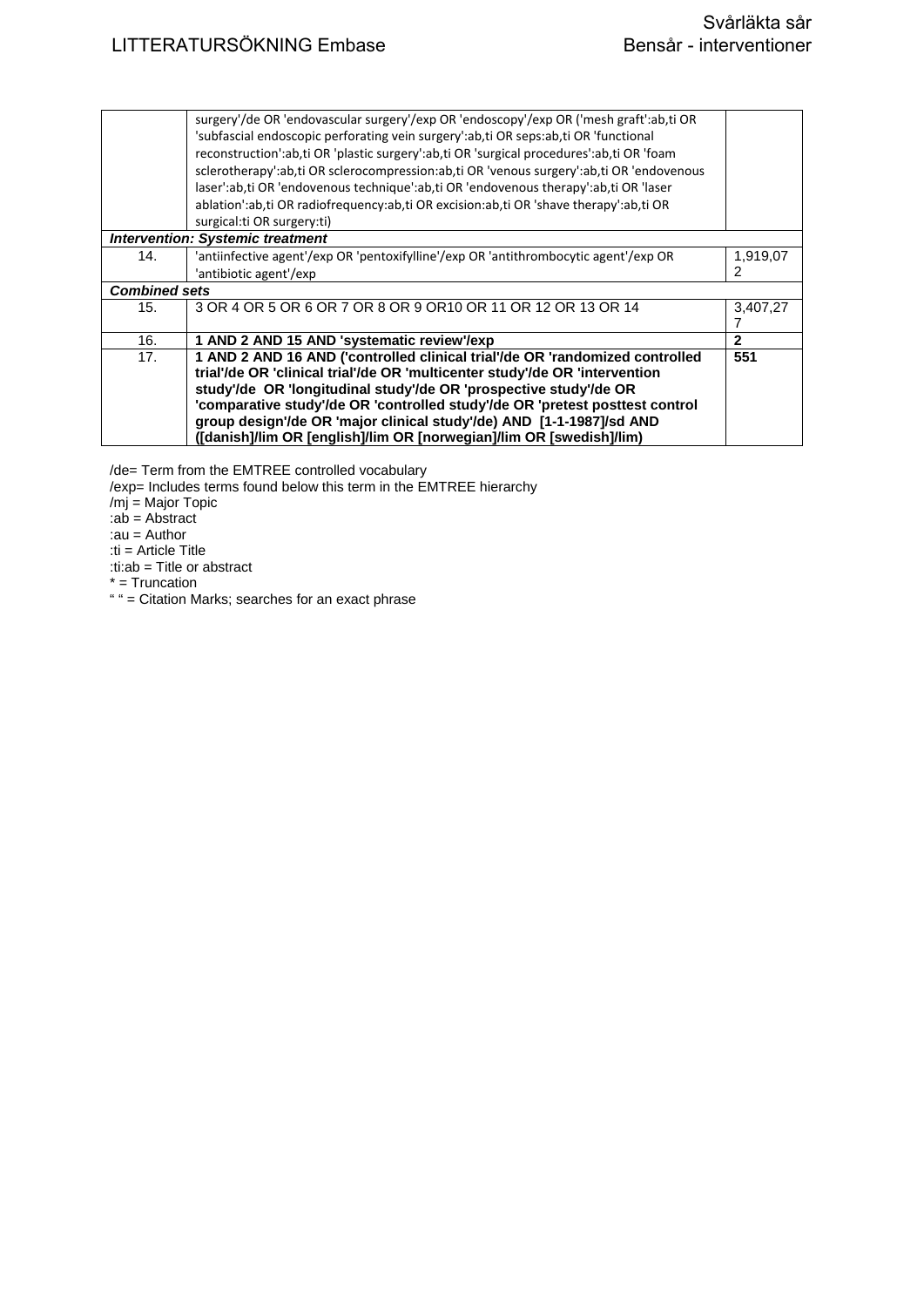|                                         | surgery'/de OR 'endovascular surgery'/exp OR 'endoscopy'/exp OR ('mesh graft':ab,ti OR<br>'subfascial endoscopic perforating vein surgery':ab,ti OR seps:ab,ti OR 'functional<br>reconstruction':ab,ti OR 'plastic surgery':ab,ti OR 'surgical procedures':ab,ti OR 'foam<br>sclerotherapy':ab,ti OR sclerocompression:ab,ti OR 'venous surgery':ab,ti OR 'endovenous<br>laser':ab,ti OR 'endovenous technique':ab,ti OR 'endovenous therapy':ab,ti OR 'laser   |               |  |
|-----------------------------------------|-----------------------------------------------------------------------------------------------------------------------------------------------------------------------------------------------------------------------------------------------------------------------------------------------------------------------------------------------------------------------------------------------------------------------------------------------------------------|---------------|--|
|                                         | ablation':ab,ti OR radiofrequency:ab,ti OR excision:ab,ti OR 'shave therapy':ab,ti OR<br>surgical: ti OR surgery: ti)                                                                                                                                                                                                                                                                                                                                           |               |  |
| <b>Intervention: Systemic treatment</b> |                                                                                                                                                                                                                                                                                                                                                                                                                                                                 |               |  |
| 14.                                     | 'antiinfective agent'/exp OR 'pentoxifylline'/exp OR 'antithrombocytic agent'/exp OR<br>'antibiotic agent'/exp                                                                                                                                                                                                                                                                                                                                                  | 1,919,07<br>2 |  |
|                                         | <b>Combined sets</b>                                                                                                                                                                                                                                                                                                                                                                                                                                            |               |  |
| 15.                                     | 3 OR 4 OR 5 OR 6 OR 7 OR 8 OR 9 OR 10 OR 11 OR 12 OR 13 OR 14                                                                                                                                                                                                                                                                                                                                                                                                   | 3,407,27      |  |
| 16.                                     | 1 AND 2 AND 15 AND 'systematic review'/exp                                                                                                                                                                                                                                                                                                                                                                                                                      | $\mathbf{2}$  |  |
| 17.                                     | 1 AND 2 AND 16 AND ('controlled clinical trial'/de OR 'randomized controlled<br>trial'/de OR 'clinical trial'/de OR 'multicenter study'/de OR 'intervention<br>study'/de OR 'longitudinal study'/de OR 'prospective study'/de OR<br>'comparative study'/de OR 'controlled study'/de OR 'pretest posttest control<br>group design'/de OR 'major clinical study'/de) AND [1-1-1987]/sd AND<br>([danish]/lim OR [english]/lim OR [norwegian]/lim OR [swedish]/lim) | 551           |  |

/de= Term from the EMTREE controlled vocabulary

/exp= Includes terms found below this term in the EMTREE hierarchy

/mj = Major Topic

:ab = Abstract

:au = Author

:ti = Article Title

:ti:ab = Title or abstract

 $* =$ Truncation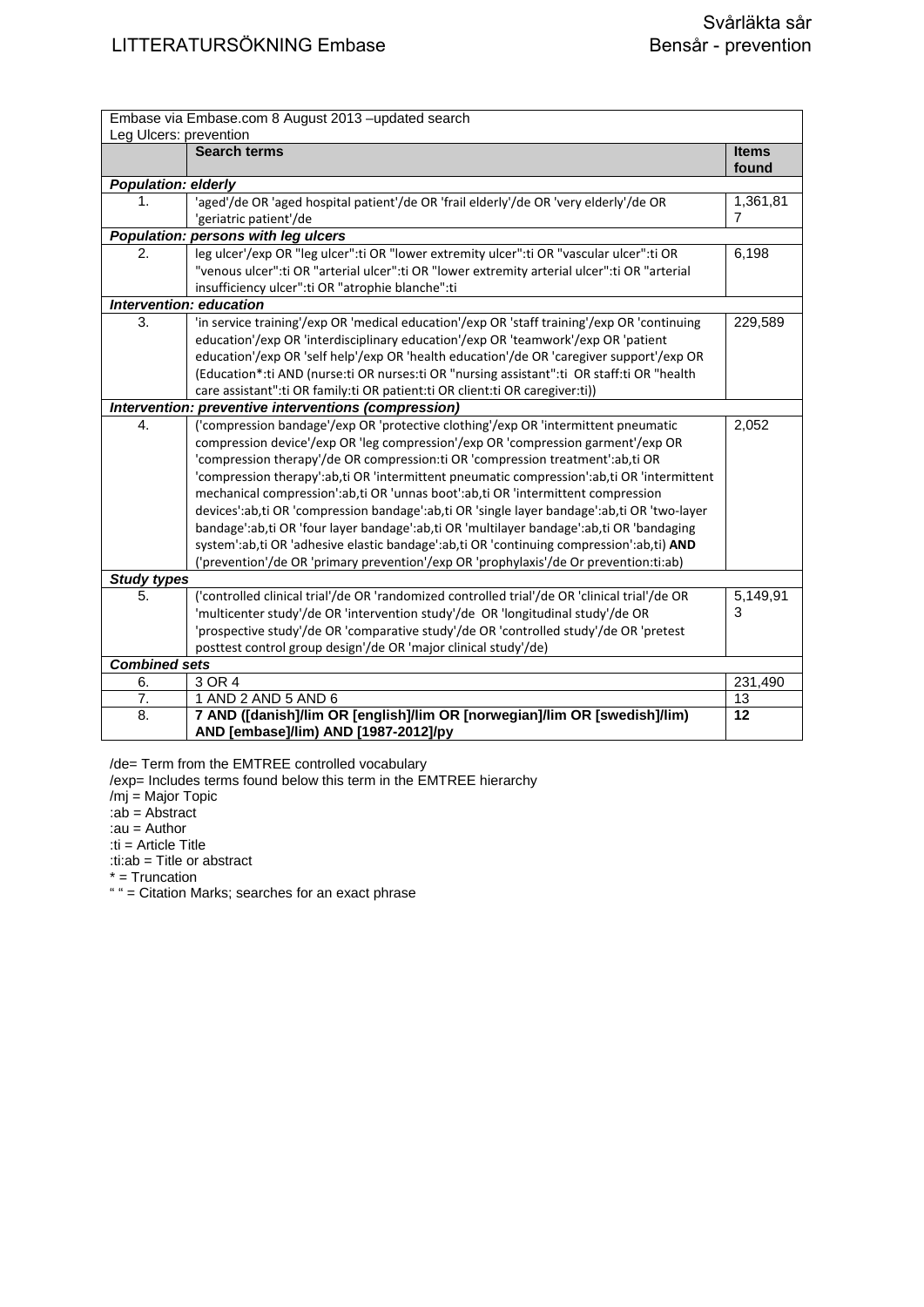|                            | Embase via Embase.com 8 August 2013 - updated search                                                              |                       |
|----------------------------|-------------------------------------------------------------------------------------------------------------------|-----------------------|
| Leg Ulcers: prevention     |                                                                                                                   |                       |
|                            | <b>Search terms</b>                                                                                               | <b>Items</b><br>found |
| <b>Population: elderly</b> |                                                                                                                   |                       |
| 1.                         | 'aged'/de OR 'aged hospital patient'/de OR 'frail elderly'/de OR 'very elderly'/de OR                             | 1,361,81              |
|                            | 'geriatric patient'/de                                                                                            | 7                     |
|                            | Population: persons with leg ulcers                                                                               |                       |
| $\overline{2}$ .           | leg ulcer'/exp OR "leg ulcer":ti OR "lower extremity ulcer":ti OR "vascular ulcer":ti OR                          | 6,198                 |
|                            | "venous ulcer":ti OR "arterial ulcer":ti OR "lower extremity arterial ulcer":ti OR "arterial                      |                       |
|                            | insufficiency ulcer":ti OR "atrophie blanche":ti                                                                  |                       |
|                            | Intervention: education                                                                                           |                       |
| 3.                         | 'in service training'/exp OR 'medical education'/exp OR 'staff training'/exp OR 'continuing                       | 229,589               |
|                            | education'/exp OR 'interdisciplinary education'/exp OR 'teamwork'/exp OR 'patient                                 |                       |
|                            | education'/exp OR 'self help'/exp OR 'health education'/de OR 'caregiver support'/exp OR                          |                       |
|                            | (Education*:ti AND (nurse:ti OR nurses:ti OR "nursing assistant":ti OR staff:ti OR "health                        |                       |
|                            | care assistant":ti OR family:ti OR patient:ti OR client:ti OR caregiver:ti))                                      |                       |
|                            | Intervention: preventive interventions (compression)                                                              |                       |
| $\overline{4}$ .           | ('compression bandage'/exp OR 'protective clothing'/exp OR 'intermittent pneumatic                                | 2,052                 |
|                            | compression device'/exp OR 'leg compression'/exp OR 'compression garment'/exp OR                                  |                       |
|                            | 'compression therapy'/de OR compression:ti OR 'compression treatment':ab,ti OR                                    |                       |
|                            | 'compression therapy':ab,ti OR 'intermittent pneumatic compression':ab,ti OR 'intermittent                        |                       |
|                            | mechanical compression':ab,ti OR 'unnas boot':ab,ti OR 'intermittent compression                                  |                       |
|                            | devices':ab,ti OR 'compression bandage':ab,ti OR 'single layer bandage':ab,ti OR 'two-layer                       |                       |
|                            | bandage':ab,ti OR 'four layer bandage':ab,ti OR 'multilayer bandage':ab,ti OR 'bandaging                          |                       |
|                            | system':ab,ti OR 'adhesive elastic bandage':ab,ti OR 'continuing compression':ab,ti) AND                          |                       |
|                            | ('prevention'/de OR 'primary prevention'/exp OR 'prophylaxis'/de Or prevention:ti:ab)                             |                       |
| <b>Study types</b>         |                                                                                                                   |                       |
| 5.                         | ('controlled clinical trial'/de OR 'randomized controlled trial'/de OR 'clinical trial'/de OR                     | 5,149,91              |
|                            | 'multicenter study'/de OR 'intervention study'/de OR 'longitudinal study'/de OR                                   | 3                     |
|                            | 'prospective study'/de OR 'comparative study'/de OR 'controlled study'/de OR 'pretest                             |                       |
|                            | posttest control group design'/de OR 'major clinical study'/de)                                                   |                       |
| <b>Combined sets</b>       |                                                                                                                   |                       |
| 6.                         | 3 OR 4                                                                                                            | 231,490               |
| 7.                         | 1 AND 2 AND 5 AND 6                                                                                               | 13                    |
| $\overline{8}$ .           | 7 AND ([danish]/lim OR [english]/lim OR [norwegian]/lim OR [swedish]/lim)<br>AND [embase]/lim) AND [1987-2012]/py | 12                    |

/de= Term from the EMTREE controlled vocabulary

/exp= Includes terms found below this term in the EMTREE hierarchy

/mj = Major Topic

:ab = Abstract

:au = Author :ti = Article Title

:ti:ab = Title or abstract

\* = Truncation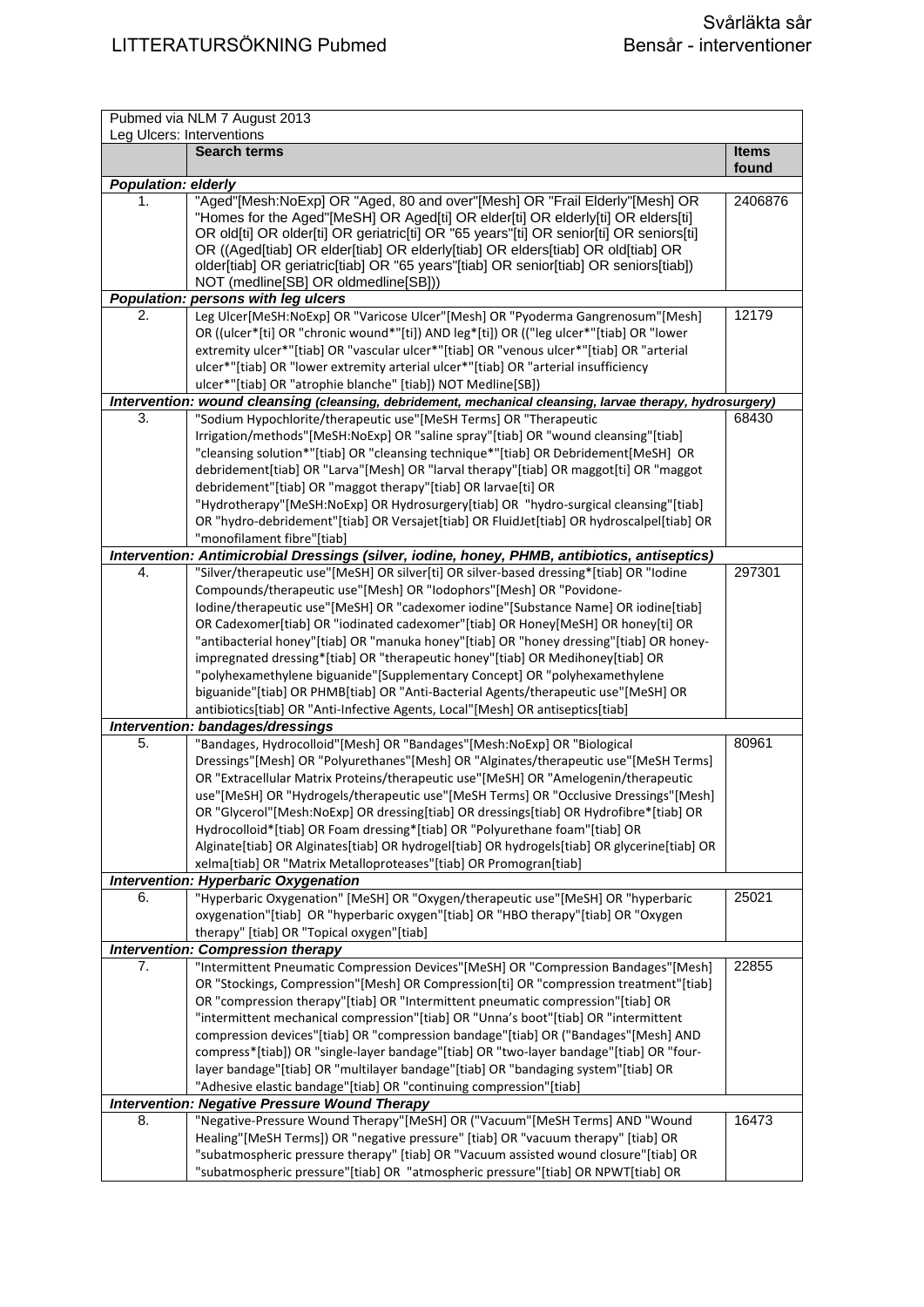| Pubmed via NLM 7 August 2013<br>Leg Ulcers: Interventions |                                                                                                                                                                               |                       |
|-----------------------------------------------------------|-------------------------------------------------------------------------------------------------------------------------------------------------------------------------------|-----------------------|
|                                                           | <b>Search terms</b>                                                                                                                                                           | <b>Items</b><br>found |
| <b>Population: elderly</b>                                |                                                                                                                                                                               |                       |
| 1.                                                        | "Aged"[Mesh:NoExp] OR "Aged, 80 and over"[Mesh] OR "Frail Elderly"[Mesh] OR                                                                                                   | 2406876               |
|                                                           | "Homes for the Aged"[MeSH] OR Aged[ti] OR elder[ti] OR elderly[ti] OR elders[ti]                                                                                              |                       |
|                                                           | OR old[ti] OR older[ti] OR geriatric[ti] OR "65 years"[ti] OR senior[ti] OR seniors[ti]                                                                                       |                       |
|                                                           | OR ((Aged[tiab] OR elder[tiab] OR elderly[tiab] OR elders[tiab] OR old[tiab] OR                                                                                               |                       |
|                                                           | older[tiab] OR geriatric[tiab] OR "65 years"[tiab] OR senior[tiab] OR seniors[tiab])                                                                                          |                       |
|                                                           | NOT (medline[SB] OR oldmedline[SB]))                                                                                                                                          |                       |
| 2.                                                        | Population: persons with leg ulcers<br>Leg Ulcer[MeSH:NoExp] OR "Varicose Ulcer"[Mesh] OR "Pyoderma Gangrenosum"[Mesh]                                                        | 12179                 |
|                                                           | OR ((ulcer*[ti] OR "chronic wound*"[ti]) AND leg*[ti]) OR (("leg ulcer*"[tiab] OR "lower                                                                                      |                       |
|                                                           | extremity ulcer*"[tiab] OR "vascular ulcer*"[tiab] OR "venous ulcer*"[tiab] OR "arterial                                                                                      |                       |
|                                                           | ulcer*"[tiab] OR "lower extremity arterial ulcer*"[tiab] OR "arterial insufficiency                                                                                           |                       |
|                                                           | ulcer*"[tiab] OR "atrophie blanche" [tiab]) NOT Medline[SB])                                                                                                                  |                       |
|                                                           | Intervention: wound cleansing (cleansing, debridement, mechanical cleansing, larvae therapy, hydrosurgery)                                                                    |                       |
| 3.                                                        | "Sodium Hypochlorite/therapeutic use"[MeSH Terms] OR "Therapeutic                                                                                                             | 68430                 |
|                                                           | Irrigation/methods"[MeSH:NoExp] OR "saline spray"[tiab] OR "wound cleansing"[tiab]                                                                                            |                       |
|                                                           | "cleansing solution*"[tiab] OR "cleansing technique*"[tiab] OR Debridement[MeSH] OR                                                                                           |                       |
|                                                           | debridement[tiab] OR "Larva"[Mesh] OR "larval therapy"[tiab] OR maggot[ti] OR "maggot                                                                                         |                       |
|                                                           | debridement"[tiab] OR "maggot therapy"[tiab] OR larvae[ti] OR                                                                                                                 |                       |
|                                                           | "Hydrotherapy"[MeSH:NoExp] OR Hydrosurgery[tiab] OR "hydro-surgical cleansing"[tiab]                                                                                          |                       |
|                                                           | OR "hydro-debridement"[tiab] OR Versajet[tiab] OR FluidJet[tiab] OR hydroscalpel[tiab] OR                                                                                     |                       |
|                                                           | "monofilament fibre"[tiab]                                                                                                                                                    |                       |
|                                                           | Intervention: Antimicrobial Dressings (silver, iodine, honey, PHMB, antibiotics, antiseptics)                                                                                 |                       |
| 4.                                                        | "Silver/therapeutic use"[MeSH] OR silver[ti] OR silver-based dressing*[tiab] OR "Iodine                                                                                       | 297301                |
|                                                           | Compounds/therapeutic use"[Mesh] OR "Iodophors"[Mesh] OR "Povidone-                                                                                                           |                       |
|                                                           | Iodine/therapeutic use"[MeSH] OR "cadexomer iodine"[Substance Name] OR iodine[tiab]                                                                                           |                       |
|                                                           | OR Cadexomer[tiab] OR "iodinated cadexomer"[tiab] OR Honey[MeSH] OR honey[ti] OR                                                                                              |                       |
|                                                           | "antibacterial honey"[tiab] OR "manuka honey"[tiab] OR "honey dressing"[tiab] OR honey-                                                                                       |                       |
|                                                           | impregnated dressing*[tiab] OR "therapeutic honey"[tiab] OR Medihoney[tiab] OR                                                                                                |                       |
|                                                           | "polyhexamethylene biguanide"[Supplementary Concept] OR "polyhexamethylene                                                                                                    |                       |
|                                                           | biguanide"[tiab] OR PHMB[tiab] OR "Anti-Bacterial Agents/therapeutic use"[MeSH] OR                                                                                            |                       |
|                                                           | antibiotics[tiab] OR "Anti-Infective Agents, Local"[Mesh] OR antiseptics[tiab]                                                                                                |                       |
| 5.                                                        | Intervention: bandages/dressings                                                                                                                                              | 80961                 |
|                                                           | "Bandages, Hydrocolloid"[Mesh] OR "Bandages"[Mesh:NoExp] OR "Biological<br>Dressings"[Mesh] OR "Polyurethanes"[Mesh] OR "Alginates/therapeutic use"[MeSH Terms]               |                       |
|                                                           | OR "Extracellular Matrix Proteins/therapeutic use"[MeSH] OR "Amelogenin/therapeutic                                                                                           |                       |
|                                                           | use"[MeSH] OR "Hydrogels/therapeutic use"[MeSH Terms] OR "Occlusive Dressings"[Mesh]                                                                                          |                       |
|                                                           | OR "Glycerol"[Mesh:NoExp] OR dressing[tiab] OR dressings[tiab] OR Hydrofibre*[tiab] OR                                                                                        |                       |
|                                                           | Hydrocolloid*[tiab] OR Foam dressing*[tiab] OR "Polyurethane foam"[tiab] OR                                                                                                   |                       |
|                                                           | Alginate[tiab] OR Alginates[tiab] OR hydrogel[tiab] OR hydrogels[tiab] OR glycerine[tiab] OR                                                                                  |                       |
|                                                           | xelma[tiab] OR "Matrix Metalloproteases"[tiab] OR Promogran[tiab]                                                                                                             |                       |
|                                                           | <b>Intervention: Hyperbaric Oxygenation</b>                                                                                                                                   |                       |
| 6.                                                        | "Hyperbaric Oxygenation" [MeSH] OR "Oxygen/therapeutic use"[MeSH] OR "hyperbaric                                                                                              | 25021                 |
|                                                           | oxygenation"[tiab] OR "hyperbaric oxygen"[tiab] OR "HBO therapy"[tiab] OR "Oxygen                                                                                             |                       |
|                                                           | therapy" [tiab] OR "Topical oxygen"[tiab]                                                                                                                                     |                       |
|                                                           | <b>Intervention: Compression therapy</b>                                                                                                                                      |                       |
| 7.                                                        | "Intermittent Pneumatic Compression Devices"[MeSH] OR "Compression Bandages"[Mesh]                                                                                            | 22855                 |
|                                                           | OR "Stockings, Compression"[Mesh] OR Compression[ti] OR "compression treatment"[tiab]                                                                                         |                       |
|                                                           | OR "compression therapy"[tiab] OR "Intermittent pneumatic compression"[tiab] OR                                                                                               |                       |
|                                                           | "intermittent mechanical compression"[tiab] OR "Unna's boot"[tiab] OR "intermittent                                                                                           |                       |
|                                                           | compression devices"[tiab] OR "compression bandage"[tiab] OR ("Bandages"[Mesh] AND<br>compress*[tiab]) OR "single-layer bandage"[tiab] OR "two-layer bandage"[tiab] OR "four- |                       |
|                                                           | layer bandage"[tiab] OR "multilayer bandage"[tiab] OR "bandaging system"[tiab] OR                                                                                             |                       |
|                                                           | "Adhesive elastic bandage"[tiab] OR "continuing compression"[tiab]                                                                                                            |                       |
|                                                           | <b>Intervention: Negative Pressure Wound Therapy</b>                                                                                                                          |                       |
| 8.                                                        | "Negative-Pressure Wound Therapy"[MeSH] OR ("Vacuum"[MeSH Terms] AND "Wound                                                                                                   | 16473                 |
|                                                           | Healing"[MeSH Terms]) OR "negative pressure" [tiab] OR "vacuum therapy" [tiab] OR                                                                                             |                       |
|                                                           | "subatmospheric pressure therapy" [tiab] OR "Vacuum assisted wound closure"[tiab] OR                                                                                          |                       |
|                                                           | "subatmospheric pressure"[tiab] OR "atmospheric pressure"[tiab] OR NPWT[tiab] OR                                                                                              |                       |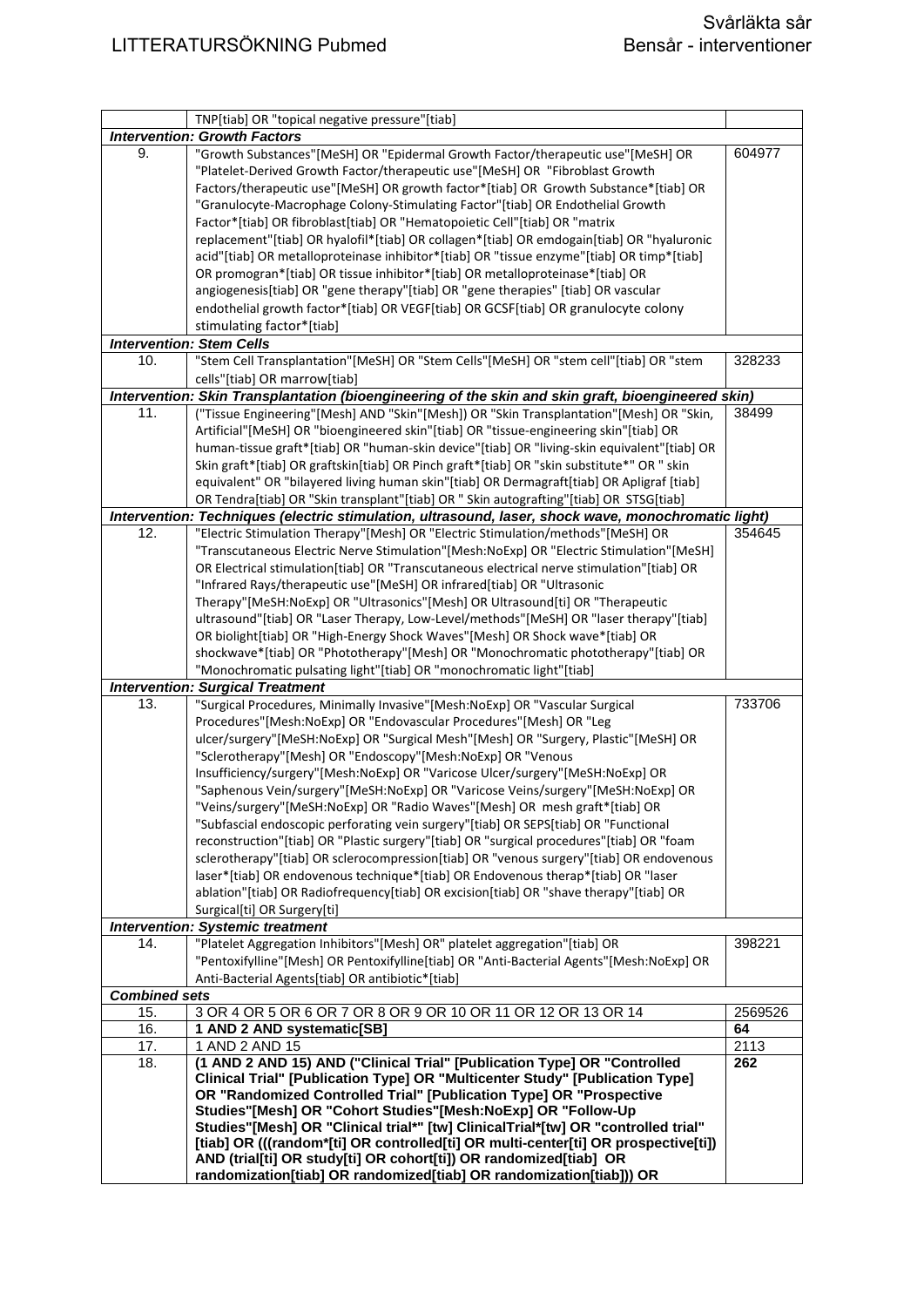|                                     | TNP[tiab] OR "topical negative pressure"[tiab]                                                      |         |  |
|-------------------------------------|-----------------------------------------------------------------------------------------------------|---------|--|
| <b>Intervention: Growth Factors</b> |                                                                                                     |         |  |
| 9.                                  | "Growth Substances"[MeSH] OR "Epidermal Growth Factor/therapeutic use"[MeSH] OR                     | 604977  |  |
|                                     | "Platelet-Derived Growth Factor/therapeutic use"[MeSH] OR "Fibroblast Growth                        |         |  |
|                                     | Factors/therapeutic use"[MeSH] OR growth factor*[tiab] OR Growth Substance*[tiab] OR                |         |  |
|                                     | "Granulocyte-Macrophage Colony-Stimulating Factor"[tiab] OR Endothelial Growth                      |         |  |
|                                     | Factor*[tiab] OR fibroblast[tiab] OR "Hematopoietic Cell"[tiab] OR "matrix                          |         |  |
|                                     | replacement"[tiab] OR hyalofil*[tiab] OR collagen*[tiab] OR emdogain[tiab] OR "hyaluronic           |         |  |
|                                     | acid"[tiab] OR metalloproteinase inhibitor*[tiab] OR "tissue enzyme"[tiab] OR timp*[tiab]           |         |  |
|                                     | OR promogran*[tiab] OR tissue inhibitor*[tiab] OR metalloproteinase*[tiab] OR                       |         |  |
|                                     | angiogenesis[tiab] OR "gene therapy"[tiab] OR "gene therapies" [tiab] OR vascular                   |         |  |
|                                     | endothelial growth factor*[tiab] OR VEGF[tiab] OR GCSF[tiab] OR granulocyte colony                  |         |  |
|                                     | stimulating factor*[tiab]                                                                           |         |  |
|                                     |                                                                                                     |         |  |
|                                     | <b>Intervention: Stem Cells</b>                                                                     |         |  |
| 10.                                 | "Stem Cell Transplantation"[MeSH] OR "Stem Cells"[MeSH] OR "stem cell"[tiab] OR "stem               | 328233  |  |
|                                     | cells"[tiab] OR marrow[tiab]                                                                        |         |  |
|                                     | Intervention: Skin Transplantation (bioengineering of the skin and skin graft, bioengineered skin)  |         |  |
| 11.                                 | ("Tissue Engineering"[Mesh] AND "Skin"[Mesh]) OR "Skin Transplantation"[Mesh] OR "Skin,             | 38499   |  |
|                                     | Artificial"[MeSH] OR "bioengineered skin"[tiab] OR "tissue-engineering skin"[tiab] OR               |         |  |
|                                     | human-tissue graft*[tiab] OR "human-skin device"[tiab] OR "living-skin equivalent"[tiab] OR         |         |  |
|                                     | Skin graft*[tiab] OR graftskin[tiab] OR Pinch graft*[tiab] OR "skin substitute*" OR " skin          |         |  |
|                                     | equivalent" OR "bilayered living human skin"[tiab] OR Dermagraft[tiab] OR Apligraf [tiab]           |         |  |
|                                     | OR Tendra[tiab] OR "Skin transplant"[tiab] OR " Skin autografting"[tiab] OR STSG[tiab]              |         |  |
|                                     | Intervention: Techniques (electric stimulation, ultrasound, laser, shock wave, monochromatic light) |         |  |
| 12.                                 | "Electric Stimulation Therapy"[Mesh] OR "Electric Stimulation/methods"[MeSH] OR                     | 354645  |  |
|                                     | "Transcutaneous Electric Nerve Stimulation"[Mesh:NoExp] OR "Electric Stimulation"[MeSH]             |         |  |
|                                     | OR Electrical stimulation[tiab] OR "Transcutaneous electrical nerve stimulation"[tiab] OR           |         |  |
|                                     | "Infrared Rays/therapeutic use"[MeSH] OR infrared[tiab] OR "Ultrasonic                              |         |  |
|                                     | Therapy"[MeSH:NoExp] OR "Ultrasonics"[Mesh] OR Ultrasound[ti] OR "Therapeutic                       |         |  |
|                                     | ultrasound"[tiab] OR "Laser Therapy, Low-Level/methods"[MeSH] OR "laser therapy"[tiab]              |         |  |
|                                     | OR biolight[tiab] OR "High-Energy Shock Waves"[Mesh] OR Shock wave*[tiab] OR                        |         |  |
|                                     | shockwave*[tiab] OR "Phototherapy"[Mesh] OR "Monochromatic phototherapy"[tiab] OR                   |         |  |
|                                     |                                                                                                     |         |  |
|                                     | "Monochromatic pulsating light"[tiab] OR "monochromatic light"[tiab]                                |         |  |
|                                     | <b>Intervention: Surgical Treatment</b>                                                             |         |  |
| 13.                                 | "Surgical Procedures, Minimally Invasive"[Mesh:NoExp] OR "Vascular Surgical                         | 733706  |  |
|                                     | Procedures"[Mesh:NoExp] OR "Endovascular Procedures"[Mesh] OR "Leg                                  |         |  |
|                                     | ulcer/surgery"[MeSH:NoExp] OR "Surgical Mesh"[Mesh] OR "Surgery, Plastic"[MeSH] OR                  |         |  |
|                                     | "Sclerotherapy"[Mesh] OR "Endoscopy"[Mesh:NoExp] OR "Venous                                         |         |  |
|                                     | Insufficiency/surgery"[Mesh:NoExp] OR "Varicose Ulcer/surgery"[MeSH:NoExp] OR                       |         |  |
|                                     | "Saphenous Vein/surgery"[MeSH:NoExp] OR "Varicose Veins/surgery"[MeSH:NoExp] OR                     |         |  |
|                                     | "Veins/surgery"[MeSH:NoExp] OR "Radio Waves"[Mesh] OR mesh graft*[tiab] OR                          |         |  |
|                                     | "Subfascial endoscopic perforating vein surgery"[tiab] OR SEPS[tiab] OR "Functional                 |         |  |
|                                     | reconstruction"[tiab] OR "Plastic surgery"[tiab] OR "surgical procedures"[tiab] OR "foam            |         |  |
|                                     | sclerotherapy"[tiab] OR sclerocompression[tiab] OR "venous surgery"[tiab] OR endovenous             |         |  |
|                                     | laser*[tiab] OR endovenous technique*[tiab] OR Endovenous therap*[tiab] OR "laser                   |         |  |
|                                     | ablation"[tiab] OR Radiofrequency[tiab] OR excision[tiab] OR "shave therapy"[tiab] OR               |         |  |
|                                     | Surgical[ti] OR Surgery[ti]                                                                         |         |  |
|                                     | <b>Intervention: Systemic treatment</b>                                                             |         |  |
| 14.                                 | "Platelet Aggregation Inhibitors"[Mesh] OR" platelet aggregation"[tiab] OR                          | 398221  |  |
|                                     | "Pentoxifylline"[Mesh] OR Pentoxifylline[tiab] OR "Anti-Bacterial Agents"[Mesh:NoExp] OR            |         |  |
|                                     | Anti-Bacterial Agents[tiab] OR antibiotic*[tiab]                                                    |         |  |
| <b>Combined sets</b>                |                                                                                                     |         |  |
| 15.                                 | 3 OR 4 OR 5 OR 6 OR 7 OR 8 OR 9 OR 10 OR 11 OR 12 OR 13 OR 14                                       | 2569526 |  |
| 16.                                 | 1 AND 2 AND systematic[SB]                                                                          | 64      |  |
| 17.                                 | 1 AND 2 AND 15                                                                                      | 2113    |  |
| 18.                                 | (1 AND 2 AND 15) AND ("Clinical Trial" [Publication Type] OR "Controlled                            | 262     |  |
|                                     | Clinical Trial" [Publication Type] OR "Multicenter Study" [Publication Type]                        |         |  |
|                                     | OR "Randomized Controlled Trial" [Publication Type] OR "Prospective                                 |         |  |
|                                     | Studies"[Mesh] OR "Cohort Studies"[Mesh:NoExp] OR "Follow-Up                                        |         |  |
|                                     | Studies"[Mesh] OR "Clinical trial*" [tw] ClinicalTrial*[tw] OR "controlled trial"                   |         |  |
|                                     | [tiab] OR (((random*[ti] OR controlled[ti] OR multi-center[ti] OR prospective[ti])                  |         |  |
|                                     | AND (trial[ti] OR study[ti] OR cohort[ti]) OR randomized[tiab] OR                                   |         |  |
|                                     | randomization[tiab] OR randomized[tiab] OR randomization[tiab])) OR                                 |         |  |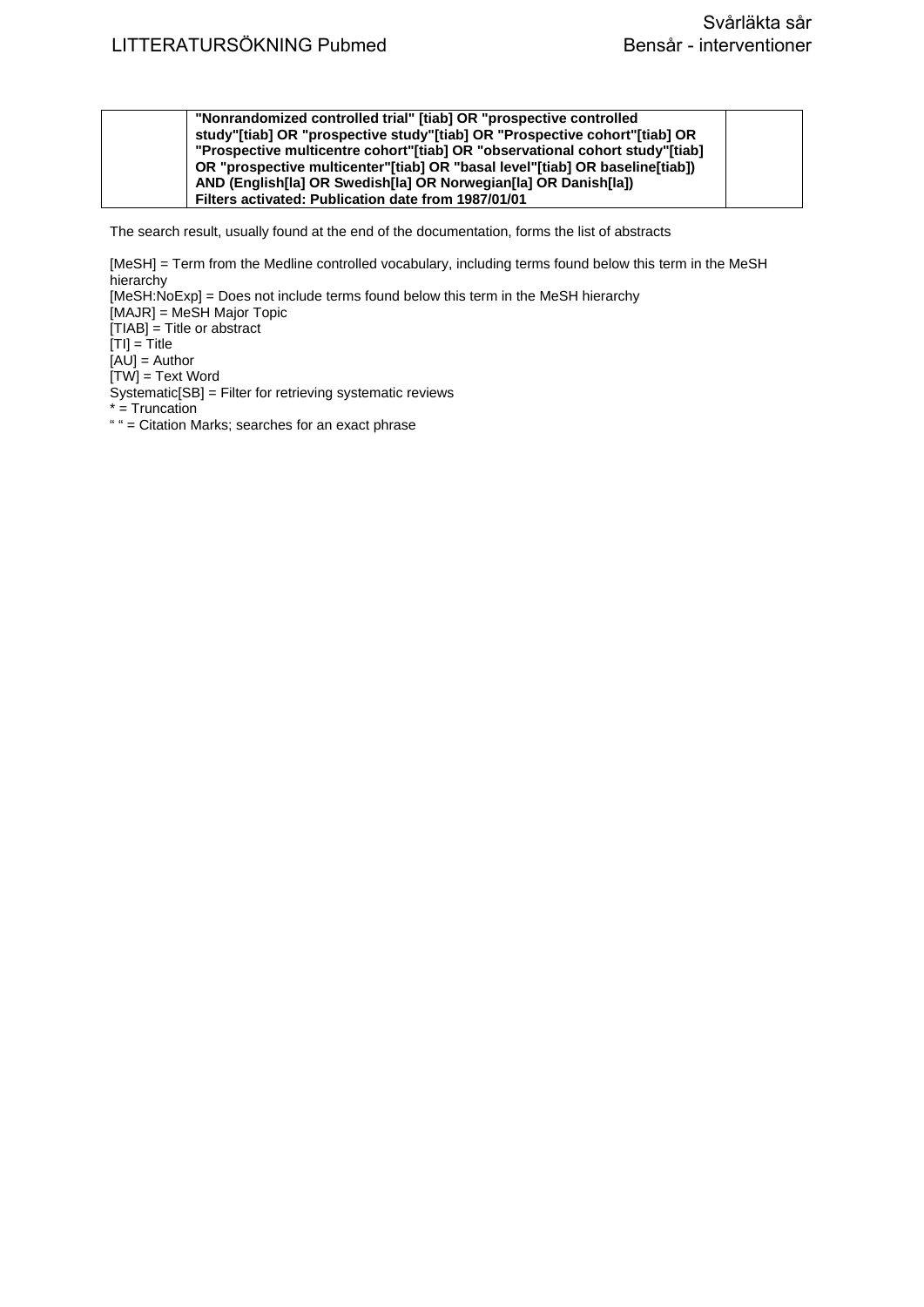| "Nonrandomized controlled trial" [tiab] OR "prospective controlled           |  |
|------------------------------------------------------------------------------|--|
| study"[tiab] OR "prospective study"[tiab] OR "Prospective cohort"[tiab] OR   |  |
| "Prospective multicentre cohort"[tiab] OR "observational cohort study"[tiab] |  |
| OR "prospective multicenter"[tiab] OR "basal level"[tiab] OR baseline[tiab]) |  |
| AND (English[la] OR Swedish[la] OR Norwegian[la] OR Danish[la])              |  |
| Filters activated: Publication date from 1987/01/01                          |  |

[MeSH] = Term from the Medline controlled vocabulary, including terms found below this term in the MeSH **hierarchy** [MeSH:NoExp] = Does not include terms found below this term in the MeSH hierarchy [MAJR] = MeSH Major Topic [TIAB] = Title or abstract  $[TI] = Title$ [AU] = Author  $[TW]$  = Text Word Systematic[SB] = Filter for retrieving systematic reviews \* = Truncation " " = Citation Marks; searches for an exact phrase